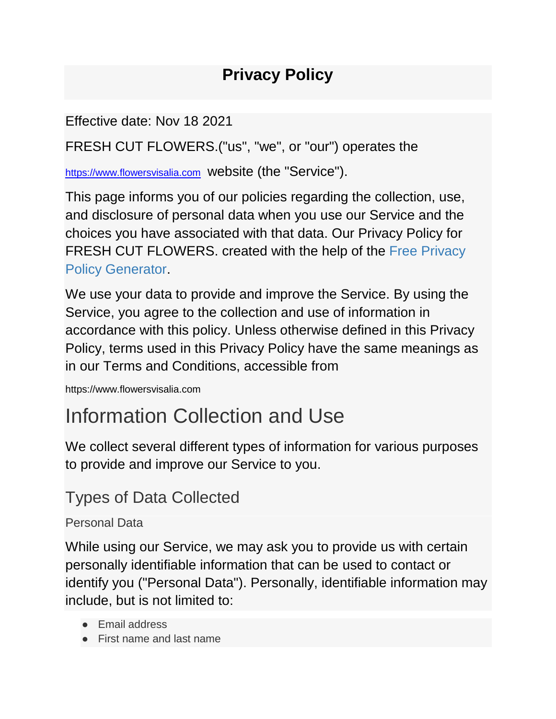### **Privacy Policy**

Effective date: Nov 18 2021

FRESH CUT FLOWERS.("us", "we", or "our") operates the

[https://www.flowersvisalia.com](https://smallcakesfresnoca.com/) website (the "Service").

This page informs you of our policies regarding the collection, use, and disclosure of personal data when you use our Service and the choices you have associated with that data. Our Privacy Policy for FRESH CUT FLOWERS. created with the help of the [Free Privacy](https://www.freeprivacypolicy.com/free-privacy-policy-generator.php)  [Policy Generator.](https://www.freeprivacypolicy.com/free-privacy-policy-generator.php)

We use your data to provide and improve the Service. By using the Service, you agree to the collection and use of information in accordance with this policy. Unless otherwise defined in this Privacy Policy, terms used in this Privacy Policy have the same meanings as in our Terms and Conditions, accessible from

https://www.flowersvisalia.com

## Information Collection and Use

We collect several different types of information for various purposes to provide and improve our Service to you.

### Types of Data Collected

#### Personal Data

While using our Service, we may ask you to provide us with certain personally identifiable information that can be used to contact or identify you ("Personal Data"). Personally, identifiable information may include, but is not limited to:

- Email address
- First name and last name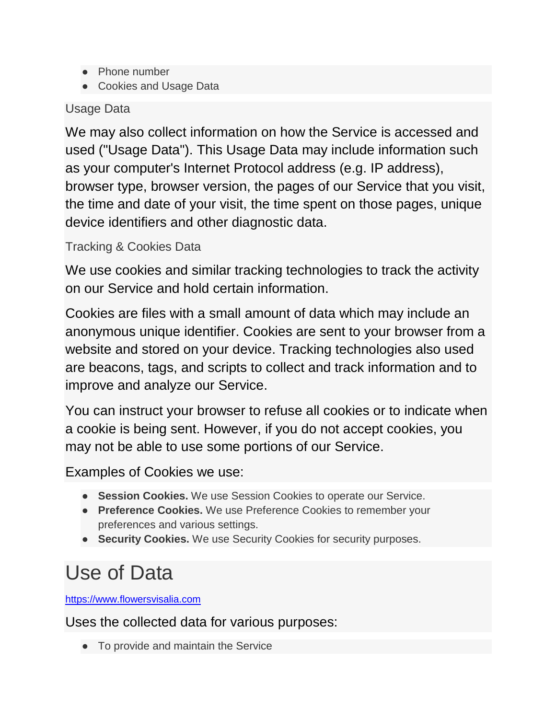- Phone number
- Cookies and Usage Data

#### Usage Data

We may also collect information on how the Service is accessed and used ("Usage Data"). This Usage Data may include information such as your computer's Internet Protocol address (e.g. IP address), browser type, browser version, the pages of our Service that you visit, the time and date of your visit, the time spent on those pages, unique device identifiers and other diagnostic data.

#### Tracking & Cookies Data

We use cookies and similar tracking technologies to track the activity on our Service and hold certain information.

Cookies are files with a small amount of data which may include an anonymous unique identifier. Cookies are sent to your browser from a website and stored on your device. Tracking technologies also used are beacons, tags, and scripts to collect and track information and to improve and analyze our Service.

You can instruct your browser to refuse all cookies or to indicate when a cookie is being sent. However, if you do not accept cookies, you may not be able to use some portions of our Service.

Examples of Cookies we use:

- **Session Cookies.** We use Session Cookies to operate our Service.
- **Preference Cookies.** We use Preference Cookies to remember your preferences and various settings.
- **Security Cookies.** We use Security Cookies for security purposes.

## Use of Data

[https://www.flowersvisalia.com](https://smallcakesfresnoca.com/)

Uses the collected data for various purposes:

● To provide and maintain the Service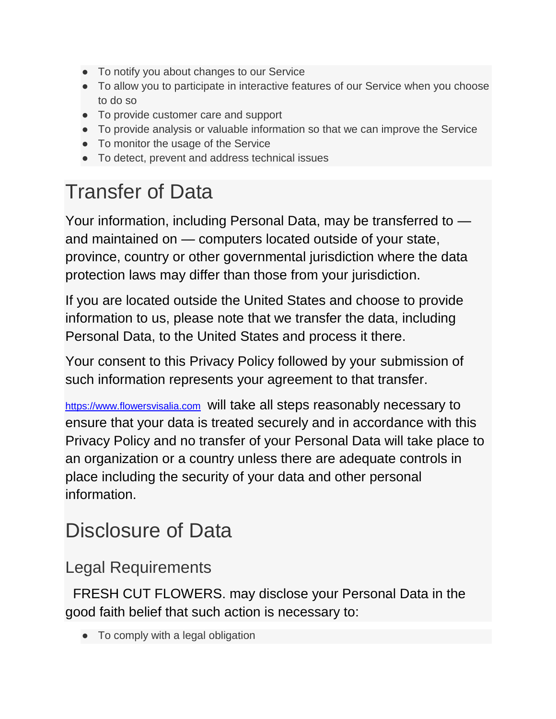- To notify you about changes to our Service
- To allow you to participate in interactive features of our Service when you choose to do so
- To provide customer care and support
- To provide analysis or valuable information so that we can improve the Service
- To monitor the usage of the Service
- To detect, prevent and address technical issues

# Transfer of Data

Your information, including Personal Data, may be transferred to and maintained on — computers located outside of your state, province, country or other governmental jurisdiction where the data protection laws may differ than those from your jurisdiction.

If you are located outside the United States and choose to provide information to us, please note that we transfer the data, including Personal Data, to the United States and process it there.

Your consent to this Privacy Policy followed by your submission of such information represents your agreement to that transfer.

[https://www.flowersvisalia.com](https://smallcakesfresnoca.com/) will take all steps reasonably necessary to ensure that your data is treated securely and in accordance with this Privacy Policy and no transfer of your Personal Data will take place to an organization or a country unless there are adequate controls in place including the security of your data and other personal information.

## Disclosure of Data

#### Legal Requirements

FRESH CUT FLOWERS. may disclose your Personal Data in the good faith belief that such action is necessary to:

• To comply with a legal obligation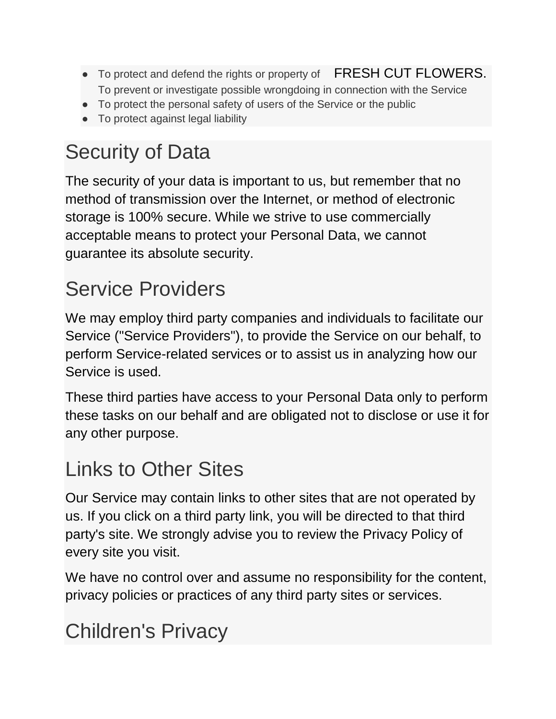- To protect and defend the rights or property of FRESH CUT FLOWERS. To prevent or investigate possible wrongdoing in connection with the Service
- To protect the personal safety of users of the Service or the public
- To protect against legal liability

# Security of Data

The security of your data is important to us, but remember that no method of transmission over the Internet, or method of electronic storage is 100% secure. While we strive to use commercially acceptable means to protect your Personal Data, we cannot guarantee its absolute security.

# Service Providers

We may employ third party companies and individuals to facilitate our Service ("Service Providers"), to provide the Service on our behalf, to perform Service-related services or to assist us in analyzing how our Service is used.

These third parties have access to your Personal Data only to perform these tasks on our behalf and are obligated not to disclose or use it for any other purpose.

## Links to Other Sites

Our Service may contain links to other sites that are not operated by us. If you click on a third party link, you will be directed to that third party's site. We strongly advise you to review the Privacy Policy of every site you visit.

We have no control over and assume no responsibility for the content, privacy policies or practices of any third party sites or services.

# Children's Privacy